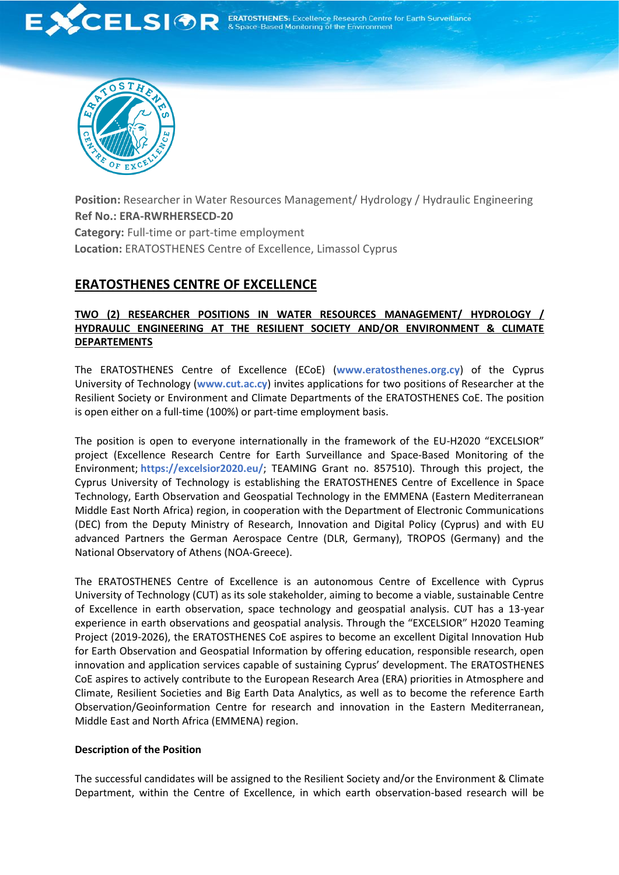



**Position:** Researcher in Water Resources Management/ Hydrology / Hydraulic Engineering **Ref No.: ERA-RWRHERSECD-20 Category:** Full-time or part-time employment **Location:** ERATOSTHENES Centre of Excellence, Limassol Cyprus

# **ERATOSTHENES CENTRE OF EXCELLENCE**

## **TWO (2) RESEARCHER POSITIONS IN WATER RESOURCES MANAGEMENT/ HYDROLOGY / HYDRAULIC ENGINEERING AT THE RESILIENT SOCIETY AND/OR ENVIRONMENT & CLIMATE DEPARTEMENTS**

The ERATOSTHENES Centre of Excellence (ECoE) (**[www.eratosthenes.org.cy](http://www.eratosthenes.org.cy/)**) of the Cyprus University of Technology (**[www.cut.ac.cy](http://www.cut.ac.cy/)**) invites applications for two positions of Researcher at the Resilient Society or Environment and Climate Departments of the ERATOSTHENES CoE. The position is open either on a full-time (100%) or part-time employment basis.

The position is open to everyone internationally in the framework of the EU-H2020 "EXCELSIOR" project (Excellence Research Centre for Earth Surveillance and Space-Based Monitoring of the Environment; **<https://excelsior2020.eu/>**; TEAMING Grant no. 857510). Through this project, the Cyprus University of Technology is establishing the ERATOSTHENES Centre of Excellence in Space Technology, Earth Observation and Geospatial Technology in the EMMENA (Eastern Mediterranean Middle East North Africa) region, in cooperation with the Department of Electronic Communications (DEC) from the Deputy Ministry of Research, Innovation and Digital Policy (Cyprus) and with EU advanced Partners the German Aerospace Centre (DLR, Germany), TROPOS (Germany) and the National Observatory of Athens (NOA-Greece).

The ERATOSTHENES Centre of Excellence is an autonomous Centre of Excellence with Cyprus University of Technology (CUT) as its sole stakeholder, aiming to become a viable, sustainable Centre of Excellence in earth observation, space technology and geospatial analysis. CUT has a 13-year experience in earth observations and geospatial analysis. Through the "EXCELSIOR" H2020 Teaming Project (2019-2026), the ERATOSTHENES CoE aspires to become an excellent Digital Innovation Hub for Earth Observation and Geospatial Information by offering education, responsible research, open innovation and application services capable of sustaining Cyprus' development. The ERATOSTHENES CoE aspires to actively contribute to the European Research Area (ERA) priorities in Atmosphere and Climate, Resilient Societies and Big Earth Data Analytics, as well as to become the reference Earth Observation/Geoinformation Centre for research and innovation in the Eastern Mediterranean, Middle East and North Africa (EMMENA) region.

## **Description of the Position**

The successful candidates will be assigned to the Resilient Society and/or the Environment & Climate Department, within the Centre of Excellence, in which earth observation-based research will be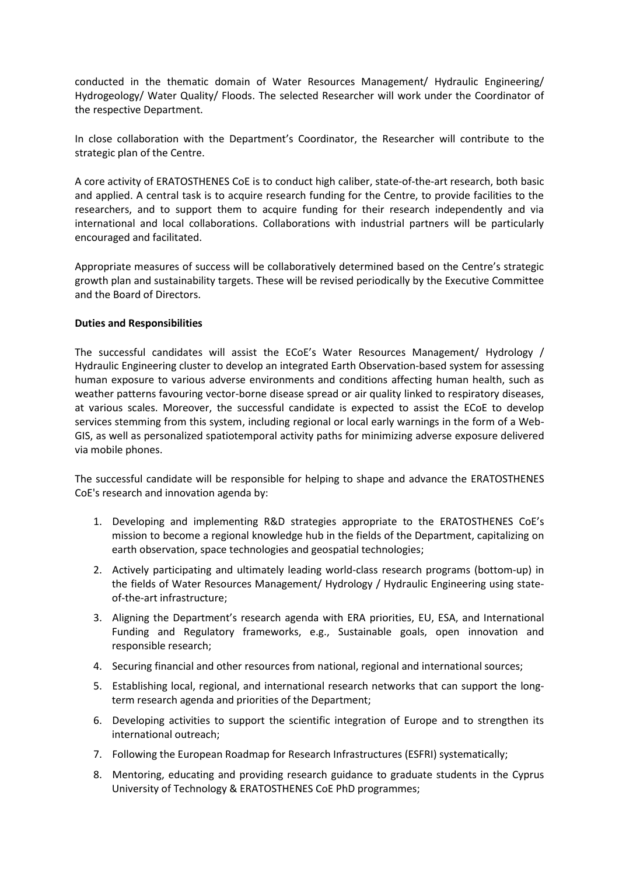conducted in the thematic domain of Water Resources Management/ Hydraulic Engineering/ Hydrogeology/ Water Quality/ Floods. The selected Researcher will work under the Coordinator of the respective Department.

In close collaboration with the Department's Coordinator, the Researcher will contribute to the strategic plan of the Centre.

A core activity of ERATOSTHENES CoE is to conduct high caliber, state-of-the-art research, both basic and applied. A central task is to acquire research funding for the Centre, to provide facilities to the researchers, and to support them to acquire funding for their research independently and via international and local collaborations. Collaborations with industrial partners will be particularly encouraged and facilitated.

Appropriate measures of success will be collaboratively determined based on the Centre's strategic growth plan and sustainability targets. These will be revised periodically by the Executive Committee and the Board of Directors.

### **Duties and Responsibilities**

The successful candidates will assist the ECoE's Water Resources Management/ Hydrology / Hydraulic Engineering cluster to develop an integrated Earth Observation-based system for assessing human exposure to various adverse environments and conditions affecting human health, such as weather patterns favouring vector-borne disease spread or air quality linked to respiratory diseases, at various scales. Moreover, the successful candidate is expected to assist the ECoE to develop services stemming from this system, including regional or local early warnings in the form of a Web-GIS, as well as personalized spatiotemporal activity paths for minimizing adverse exposure delivered via mobile phones.

The successful candidate will be responsible for helping to shape and advance the ERATOSTHENES CoE's research and innovation agenda by:

- 1. Developing and implementing R&D strategies appropriate to the ERATOSTHENES CoE's mission to become a regional knowledge hub in the fields of the Department, capitalizing on earth observation, space technologies and geospatial technologies;
- 2. Actively participating and ultimately leading world-class research programs (bottom-up) in the fields of Water Resources Management/ Hydrology / Hydraulic Engineering using stateof-the-art infrastructure;
- 3. Aligning the Department's research agenda with ERA priorities, EU, ESA, and International Funding and Regulatory frameworks, e.g., Sustainable goals, open innovation and responsible research;
- 4. Securing financial and other resources from national, regional and international sources;
- 5. Establishing local, regional, and international research networks that can support the longterm research agenda and priorities of the Department;
- 6. Developing activities to support the scientific integration of Europe and to strengthen its international outreach;
- 7. Following the European Roadmap for Research Infrastructures (ESFRI) systematically;
- 8. Mentoring, educating and providing research guidance to graduate students in the Cyprus University of Technology & ERATOSTHENES CoE PhD programmes;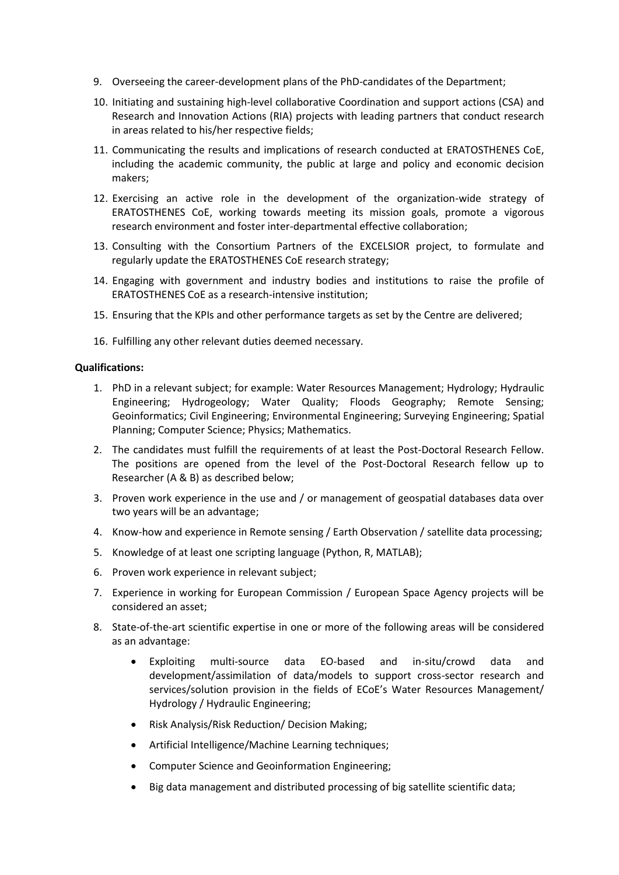- 9. Overseeing the career-development plans of the PhD-candidates of the Department;
- 10. Initiating and sustaining high-level collaborative Coordination and support actions (CSA) and Research and Innovation Actions (RIA) projects with leading partners that conduct research in areas related to his/her respective fields;
- 11. Communicating the results and implications of research conducted at ERATOSTHENES CoE, including the academic community, the public at large and policy and economic decision makers;
- 12. Exercising an active role in the development of the organization-wide strategy of ERATOSTHENES CoE, working towards meeting its mission goals, promote a vigorous research environment and foster inter-departmental effective collaboration;
- 13. Consulting with the Consortium Partners of the EXCELSIOR project, to formulate and regularly update the ERATOSTHENES CoE research strategy;
- 14. Engaging with government and industry bodies and institutions to raise the profile of ERATOSTHENES CoE as a research-intensive institution;
- 15. Ensuring that the KPIs and other performance targets as set by the Centre are delivered;
- 16. Fulfilling any other relevant duties deemed necessary.

#### **Qualifications:**

- 1. PhD in a relevant subject; for example: Water Resources Management; Hydrology; Hydraulic Engineering; Hydrogeology; Water Quality; Floods Geography; Remote Sensing; Geoinformatics; Civil Engineering; Environmental Engineering; Surveying Engineering; Spatial Planning; Computer Science; Physics; Mathematics.
- 2. The candidates must fulfill the requirements of at least the Post-Doctoral Research Fellow. The positions are opened from the level of the Post-Doctoral Research fellow up to Researcher (A & B) as described below;
- 3. Proven work experience in the use and / or management of geospatial databases data over two years will be an advantage;
- 4. Know-how and experience in Remote sensing / Earth Observation / satellite data processing;
- 5. Knowledge of at least one scripting language (Python, R, MATLAB);
- 6. Proven work experience in relevant subject;
- 7. Experience in working for European Commission / European Space Agency projects will be considered an asset;
- 8. State-of-the-art scientific expertise in one or more of the following areas will be considered as an advantage:
	- Exploiting multi-source data EO-based and in-situ/crowd data and development/assimilation of data/models to support cross-sector research and services/solution provision in the fields of ECoE's Water Resources Management/ Hydrology / Hydraulic Engineering;
	- Risk Analysis/Risk Reduction/ Decision Making;
	- Artificial Intelligence/Machine Learning techniques;
	- Computer Science and Geoinformation Engineering;
	- Big data management and distributed processing of big satellite scientific data;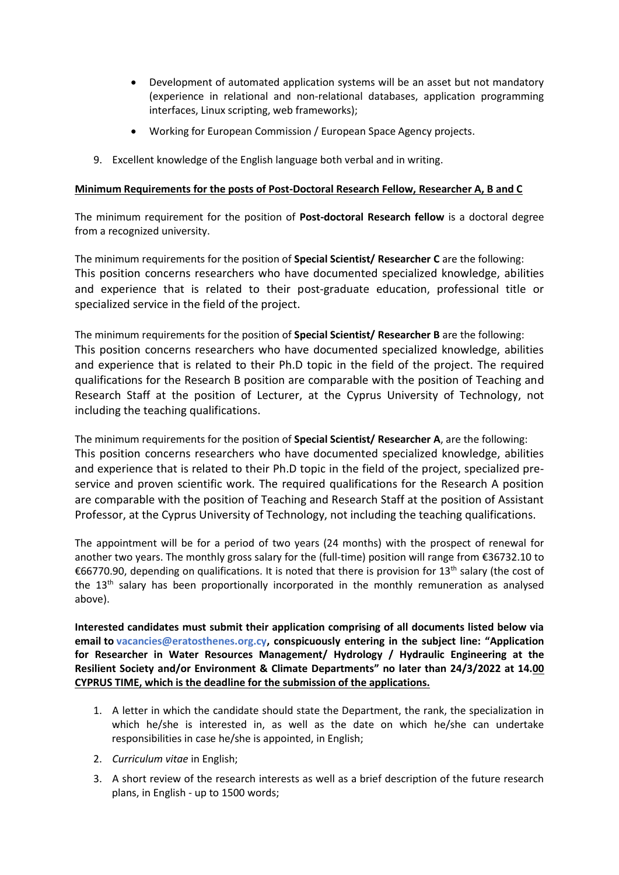- Development of automated application systems will be an asset but not mandatory (experience in relational and non-relational databases, application programming interfaces, Linux scripting, web frameworks);
- Working for European Commission / European Space Agency projects.
- 9. Excellent knowledge of the English language both verbal and in writing.

## **Minimum Requirements for the posts of Post-Doctoral Research Fellow, Researcher A, B and C**

The minimum requirement for the position of **Post-doctoral Research fellow** is a doctoral degree from a recognized university.

The minimum requirements for the position of **Special Scientist/ Researcher C** are the following: This position concerns researchers who have documented specialized knowledge, abilities and experience that is related to their post-graduate education, professional title or specialized service in the field of the project.

The minimum requirements for the position of **Special Scientist/ Researcher B** are the following: This position concerns researchers who have documented specialized knowledge, abilities and experience that is related to their Ph.D topic in the field of the project. The required qualifications for the Research B position are comparable with the position of Teaching and Research Staff at the position of Lecturer, at the Cyprus University of Technology, not including the teaching qualifications.

The minimum requirements for the position of **Special Scientist/ Researcher A**, are the following: This position concerns researchers who have documented specialized knowledge, abilities and experience that is related to their Ph.D topic in the field of the project, specialized preservice and proven scientific work. The required qualifications for the Research A position are comparable with the position of Teaching and Research Staff at the position of Assistant Professor, at the Cyprus University of Technology, not including the teaching qualifications.

Τhe appointment will be for a period of two years (24 months) with the prospect of renewal for another two years. The monthly gross salary for the (full-time) position will range from €36732.10 to €66770.90, depending on qualifications. It is noted that there is provision for 13<sup>th</sup> salary (the cost of the 13<sup>th</sup> salary has been proportionally incorporated in the monthly remuneration as analysed above).

**Interested candidates must submit their application comprising of all documents listed below via email to [vacancies@eratosthenes.org.cy,](mailto:vacancies@eratosthenes.org.cy) conspicuously entering in the subject line: "Application for Researcher in Water Resources Management/ Hydrology / Hydraulic Engineering at the Resilient Society and/or Environment & Climate Departments" no later than 24/3/2022 at 14.00 CYPRUS TIME, which is the deadline for the submission of the applications.**

- 1. A letter in which the candidate should state the Department, the rank, the specialization in which he/she is interested in, as well as the date on which he/she can undertake responsibilities in case he/she is appointed, in English;
- 2. *Curriculum vitae* in English;
- 3. A short review of the research interests as well as a brief description of the future research plans, in English - up to 1500 words;